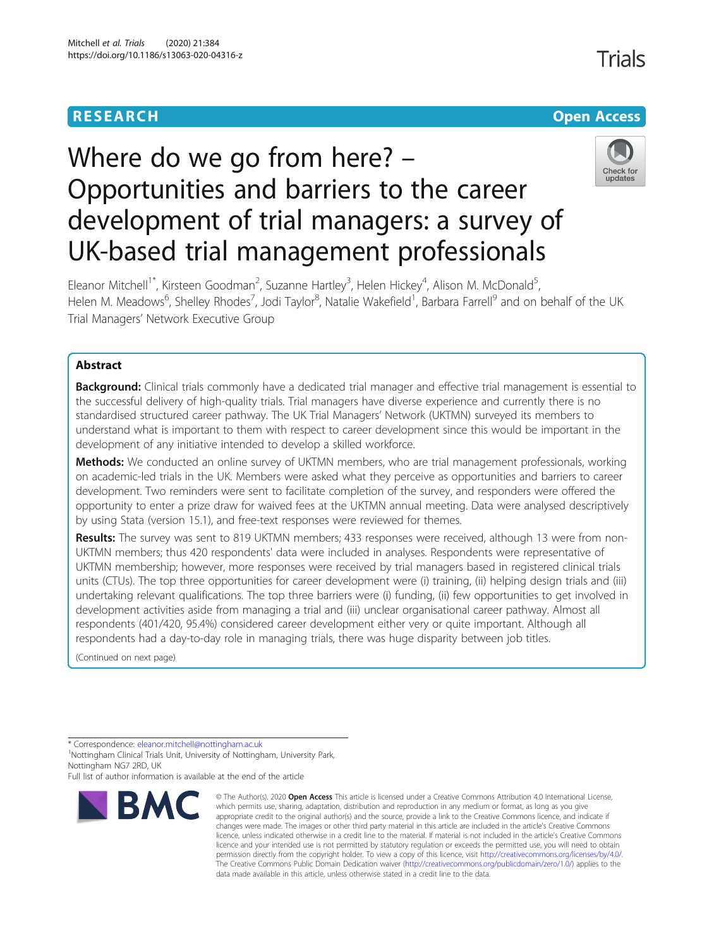### **RESEARCH CHE Open Access**

## Check for updates

# Where do we go from here? – Opportunities and barriers to the career development of trial managers: a survey of UK-based trial management professionals

Eleanor Mitchell<sup>1\*</sup>, Kirsteen Goodman<sup>2</sup>, Suzanne Hartley<sup>3</sup>, Helen Hickey<sup>4</sup>, Alison M. McDonald<sup>5</sup> , Helen M. Meadows<sup>6</sup>, Shelley Rhodes<sup>7</sup>, Jodi Taylor<sup>8</sup>, Natalie Wakefield<sup>1</sup>, Barbara Farrell<sup>9</sup> and on behalf of the UK Trial Managers' Network Executive Group

#### Abstract

Background: Clinical trials commonly have a dedicated trial manager and effective trial management is essential to the successful delivery of high-quality trials. Trial managers have diverse experience and currently there is no standardised structured career pathway. The UK Trial Managers' Network (UKTMN) surveyed its members to understand what is important to them with respect to career development since this would be important in the development of any initiative intended to develop a skilled workforce.

Methods: We conducted an online survey of UKTMN members, who are trial management professionals, working on academic-led trials in the UK. Members were asked what they perceive as opportunities and barriers to career development. Two reminders were sent to facilitate completion of the survey, and responders were offered the opportunity to enter a prize draw for waived fees at the UKTMN annual meeting. Data were analysed descriptively by using Stata (version 15.1), and free-text responses were reviewed for themes.

Results: The survey was sent to 819 UKTMN members; 433 responses were received, although 13 were from non-UKTMN members; thus 420 respondents' data were included in analyses. Respondents were representative of UKTMN membership; however, more responses were received by trial managers based in registered clinical trials units (CTUs). The top three opportunities for career development were (i) training, (ii) helping design trials and (iii) undertaking relevant qualifications. The top three barriers were (i) funding, (ii) few opportunities to get involved in development activities aside from managing a trial and (iii) unclear organisational career pathway. Almost all respondents (401/420, 95.4%) considered career development either very or quite important. Although all respondents had a day-to-day role in managing trials, there was huge disparity between job titles.

(Continued on next page)

<sup>1</sup>Nottingham Clinical Trials Unit, University of Nottingham, University Park, Nottingham NG7 2RD, UK

Full list of author information is available at the end of the article



<sup>©</sup> The Author(s), 2020 **Open Access** This article is licensed under a Creative Commons Attribution 4.0 International License, which permits use, sharing, adaptation, distribution and reproduction in any medium or format, as long as you give appropriate credit to the original author(s) and the source, provide a link to the Creative Commons licence, and indicate if changes were made. The images or other third party material in this article are included in the article's Creative Commons licence, unless indicated otherwise in a credit line to the material. If material is not included in the article's Creative Commons licence and your intended use is not permitted by statutory regulation or exceeds the permitted use, you will need to obtain permission directly from the copyright holder. To view a copy of this licence, visit [http://creativecommons.org/licenses/by/4.0/.](http://creativecommons.org/licenses/by/4.0/) The Creative Commons Public Domain Dedication waiver [\(http://creativecommons.org/publicdomain/zero/1.0/](http://creativecommons.org/publicdomain/zero/1.0/)) applies to the data made available in this article, unless otherwise stated in a credit line to the data.

<sup>\*</sup> Correspondence: [eleanor.mitchell@nottingham.ac.uk](mailto:eleanor.mitchell@nottingham.ac.uk) <sup>1</sup>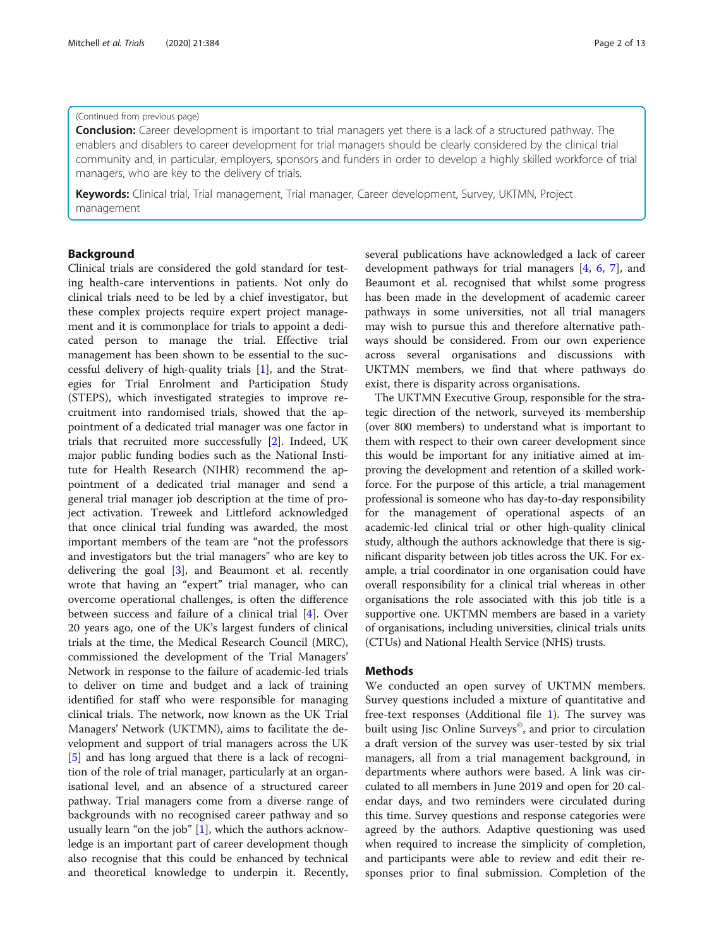#### (Continued from previous page)

**Conclusion:** Career development is important to trial managers yet there is a lack of a structured pathway. The enablers and disablers to career development for trial managers should be clearly considered by the clinical trial community and, in particular, employers, sponsors and funders in order to develop a highly skilled workforce of trial managers, who are key to the delivery of trials.

Keywords: Clinical trial, Trial management, Trial manager, Career development, Survey, UKTMN, Project management

#### Background

Clinical trials are considered the gold standard for testing health-care interventions in patients. Not only do clinical trials need to be led by a chief investigator, but these complex projects require expert project management and it is commonplace for trials to appoint a dedicated person to manage the trial. Effective trial management has been shown to be essential to the successful delivery of high-quality trials [[1\]](#page-11-0), and the Strategies for Trial Enrolment and Participation Study (STEPS), which investigated strategies to improve recruitment into randomised trials, showed that the appointment of a dedicated trial manager was one factor in trials that recruited more successfully [[2\]](#page-11-0). Indeed, UK major public funding bodies such as the National Institute for Health Research (NIHR) recommend the appointment of a dedicated trial manager and send a general trial manager job description at the time of project activation. Treweek and Littleford acknowledged that once clinical trial funding was awarded, the most important members of the team are "not the professors and investigators but the trial managers" who are key to delivering the goal [\[3](#page-11-0)], and Beaumont et al. recently wrote that having an "expert" trial manager, who can overcome operational challenges, is often the difference between success and failure of a clinical trial [[4\]](#page-11-0). Over 20 years ago, one of the UK's largest funders of clinical trials at the time, the Medical Research Council (MRC), commissioned the development of the Trial Managers' Network in response to the failure of academic-led trials to deliver on time and budget and a lack of training identified for staff who were responsible for managing clinical trials. The network, now known as the UK Trial Managers' Network (UKTMN), aims to facilitate the development and support of trial managers across the UK [[5\]](#page-11-0) and has long argued that there is a lack of recognition of the role of trial manager, particularly at an organisational level, and an absence of a structured career pathway. Trial managers come from a diverse range of backgrounds with no recognised career pathway and so usually learn "on the job" [\[1](#page-11-0)], which the authors acknowledge is an important part of career development though also recognise that this could be enhanced by technical and theoretical knowledge to underpin it. Recently,

several publications have acknowledged a lack of career development pathways for trial managers [\[4](#page-11-0), [6,](#page-12-0) [7\]](#page-12-0), and Beaumont et al. recognised that whilst some progress has been made in the development of academic career pathways in some universities, not all trial managers may wish to pursue this and therefore alternative pathways should be considered. From our own experience across several organisations and discussions with UKTMN members, we find that where pathways do exist, there is disparity across organisations.

The UKTMN Executive Group, responsible for the strategic direction of the network, surveyed its membership (over 800 members) to understand what is important to them with respect to their own career development since this would be important for any initiative aimed at improving the development and retention of a skilled workforce. For the purpose of this article, a trial management professional is someone who has day-to-day responsibility for the management of operational aspects of an academic-led clinical trial or other high-quality clinical study, although the authors acknowledge that there is significant disparity between job titles across the UK. For example, a trial coordinator in one organisation could have overall responsibility for a clinical trial whereas in other organisations the role associated with this job title is a supportive one. UKTMN members are based in a variety of organisations, including universities, clinical trials units (CTUs) and National Health Service (NHS) trusts.

#### Methods

We conducted an open survey of UKTMN members. Survey questions included a mixture of quantitative and free-text responses (Additional file [1\)](#page-11-0). The survey was built using Jisc Online Surveys<sup>®</sup>, and prior to circulation a draft version of the survey was user-tested by six trial managers, all from a trial management background, in departments where authors were based. A link was circulated to all members in June 2019 and open for 20 calendar days, and two reminders were circulated during this time. Survey questions and response categories were agreed by the authors. Adaptive questioning was used when required to increase the simplicity of completion, and participants were able to review and edit their responses prior to final submission. Completion of the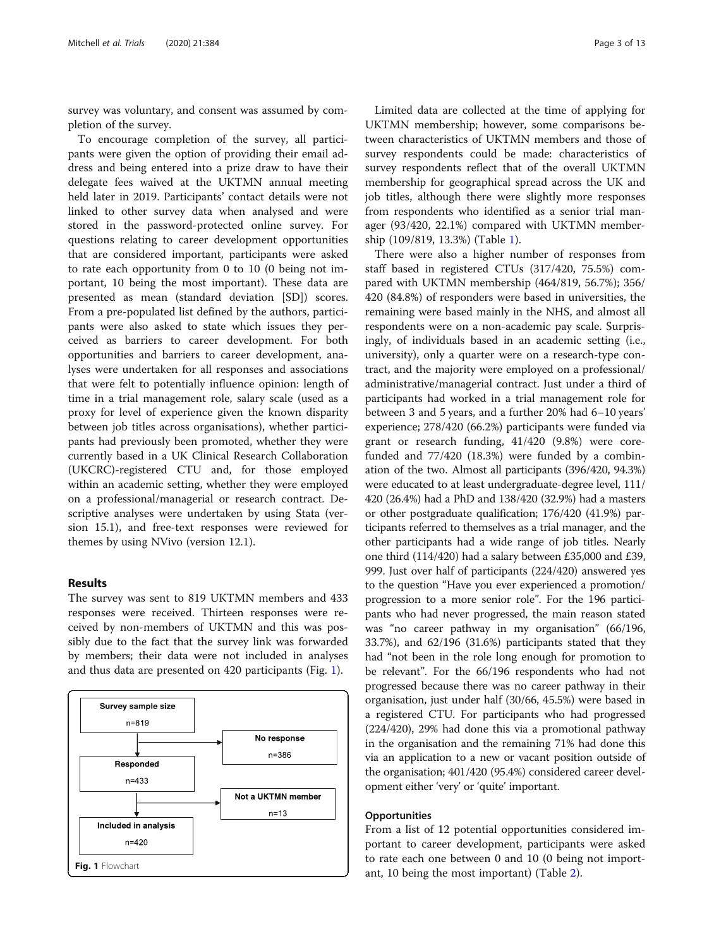survey was voluntary, and consent was assumed by completion of the survey.

To encourage completion of the survey, all participants were given the option of providing their email address and being entered into a prize draw to have their delegate fees waived at the UKTMN annual meeting held later in 2019. Participants' contact details were not linked to other survey data when analysed and were stored in the password-protected online survey. For questions relating to career development opportunities that are considered important, participants were asked to rate each opportunity from 0 to 10 (0 being not important, 10 being the most important). These data are presented as mean (standard deviation [SD]) scores. From a pre-populated list defined by the authors, participants were also asked to state which issues they perceived as barriers to career development. For both opportunities and barriers to career development, analyses were undertaken for all responses and associations that were felt to potentially influence opinion: length of time in a trial management role, salary scale (used as a proxy for level of experience given the known disparity between job titles across organisations), whether participants had previously been promoted, whether they were currently based in a UK Clinical Research Collaboration (UKCRC)-registered CTU and, for those employed within an academic setting, whether they were employed on a professional/managerial or research contract. Descriptive analyses were undertaken by using Stata (version 15.1), and free-text responses were reviewed for themes by using NVivo (version 12.1).

#### Results

The survey was sent to 819 UKTMN members and 433 responses were received. Thirteen responses were received by non-members of UKTMN and this was possibly due to the fact that the survey link was forwarded by members; their data were not included in analyses and thus data are presented on 420 participants (Fig. 1).



Limited data are collected at the time of applying for UKTMN membership; however, some comparisons between characteristics of UKTMN members and those of survey respondents could be made: characteristics of survey respondents reflect that of the overall UKTMN membership for geographical spread across the UK and job titles, although there were slightly more responses from respondents who identified as a senior trial manager (93/420, 22.1%) compared with UKTMN membership (109/819, 13.3%) (Table [1\)](#page-3-0).

There were also a higher number of responses from staff based in registered CTUs (317/420, 75.5%) compared with UKTMN membership (464/819, 56.7%); 356/ 420 (84.8%) of responders were based in universities, the remaining were based mainly in the NHS, and almost all respondents were on a non-academic pay scale. Surprisingly, of individuals based in an academic setting (i.e., university), only a quarter were on a research-type contract, and the majority were employed on a professional/ administrative/managerial contract. Just under a third of participants had worked in a trial management role for between 3 and 5 years, and a further 20% had 6–10 years' experience; 278/420 (66.2%) participants were funded via grant or research funding, 41/420 (9.8%) were corefunded and 77/420 (18.3%) were funded by a combination of the two. Almost all participants (396/420, 94.3%) were educated to at least undergraduate-degree level, 111/ 420 (26.4%) had a PhD and 138/420 (32.9%) had a masters or other postgraduate qualification; 176/420 (41.9%) participants referred to themselves as a trial manager, and the other participants had a wide range of job titles. Nearly one third (114/420) had a salary between £35,000 and £39, 999. Just over half of participants (224/420) answered yes to the question "Have you ever experienced a promotion/ progression to a more senior role". For the 196 participants who had never progressed, the main reason stated was "no career pathway in my organisation" (66/196, 33.7%), and 62/196 (31.6%) participants stated that they had "not been in the role long enough for promotion to be relevant". For the 66/196 respondents who had not progressed because there was no career pathway in their organisation, just under half (30/66, 45.5%) were based in a registered CTU. For participants who had progressed (224/420), 29% had done this via a promotional pathway in the organisation and the remaining 71% had done this via an application to a new or vacant position outside of the organisation; 401/420 (95.4%) considered career development either 'very' or 'quite' important.

#### **Opportunities**

From a list of 12 potential opportunities considered important to career development, participants were asked to rate each one between 0 and 10 (0 being not import-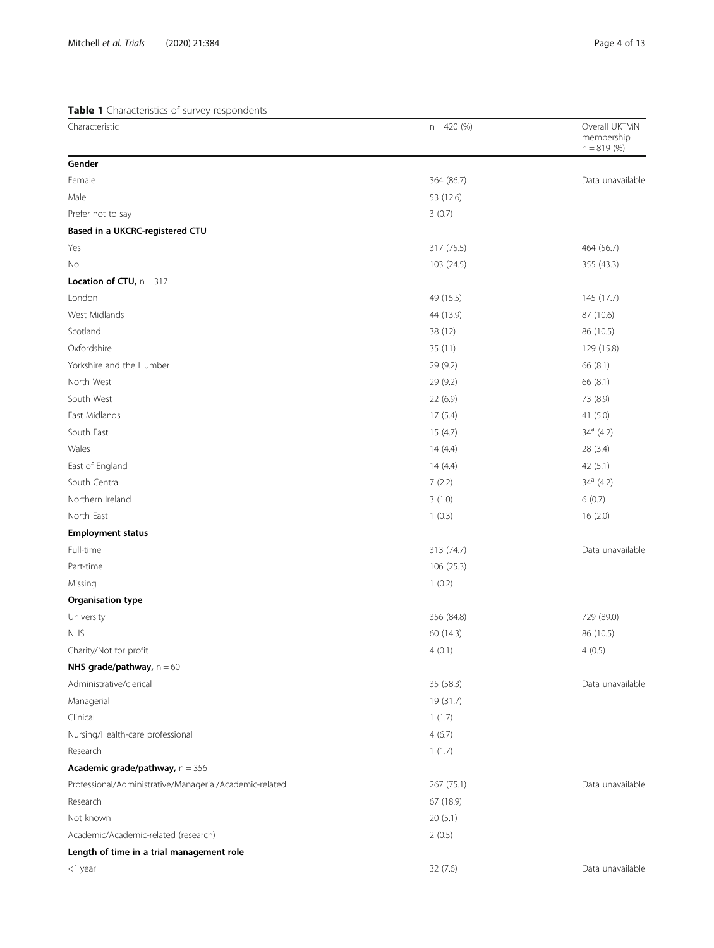<span id="page-3-0"></span>Table 1 Characteristics of survey respondents

| Characteristic                                          | $n = 420 (%)$ | Overall UKTMN<br>membership<br>$n = 819(%)$ |
|---------------------------------------------------------|---------------|---------------------------------------------|
| Gender                                                  |               |                                             |
| Female                                                  | 364 (86.7)    | Data unavailable                            |
| Male                                                    | 53 (12.6)     |                                             |
| Prefer not to say                                       | 3(0.7)        |                                             |
| Based in a UKCRC-registered CTU                         |               |                                             |
| Yes                                                     | 317 (75.5)    | 464 (56.7)                                  |
| No                                                      | 103 (24.5)    | 355 (43.3)                                  |
| <b>Location of CTU, <math>n = 317</math></b>            |               |                                             |
| London                                                  | 49 (15.5)     | 145 (17.7)                                  |
| West Midlands                                           | 44 (13.9)     | 87 (10.6)                                   |
| Scotland                                                | 38 (12)       | 86 (10.5)                                   |
| Oxfordshire                                             | 35 (11)       | 129 (15.8)                                  |
| Yorkshire and the Humber                                | 29 (9.2)      | 66 (8.1)                                    |
| North West                                              | 29 (9.2)      | 66 (8.1)                                    |
| South West                                              | 22 (6.9)      | 73 (8.9)                                    |
| East Midlands                                           | 17(5.4)       | 41 (5.0)                                    |
| South East                                              | 15(4.7)       | $34^a$ (4.2)                                |
| Wales                                                   | 14(4.4)       | 28 (3.4)                                    |
| East of England                                         | 14(4.4)       | 42 (5.1)                                    |
| South Central                                           | 7(2.2)        | $34^a$ (4.2)                                |
| Northern Ireland                                        | 3(1.0)        | 6(0.7)                                      |
| North East                                              | 1(0.3)        | 16(2.0)                                     |
| <b>Employment status</b>                                |               |                                             |
| Full-time                                               | 313 (74.7)    | Data unavailable                            |
| Part-time                                               | 106 (25.3)    |                                             |
| Missing                                                 | 1(0.2)        |                                             |
| Organisation type                                       |               |                                             |
| University                                              | 356 (84.8)    | 729 (89.0)                                  |
| <b>NHS</b>                                              | 60 (14.3)     | 86 (10.5)                                   |
| Charity/Not for profit                                  | 4(0.1)        | 4(0.5)                                      |
| NHS grade/pathway, $n = 60$                             |               |                                             |
| Administrative/clerical                                 | 35 (58.3)     | Data unavailable                            |
| Managerial                                              | 19 (31.7)     |                                             |
| Clinical                                                | 1(1.7)        |                                             |
| Nursing/Health-care professional                        | 4(6.7)        |                                             |
| Research                                                | 1(1.7)        |                                             |
| <b>Academic grade/pathway, <math>n = 356</math></b>     |               |                                             |
| Professional/Administrative/Managerial/Academic-related | 267 (75.1)    | Data unavailable                            |
| Research                                                | 67 (18.9)     |                                             |
| Not known                                               | 20(5.1)       |                                             |
| Academic/Academic-related (research)                    | 2(0.5)        |                                             |
| Length of time in a trial management role               |               |                                             |
| <1 year                                                 | 32 (7.6)      | Data unavailable                            |
|                                                         |               |                                             |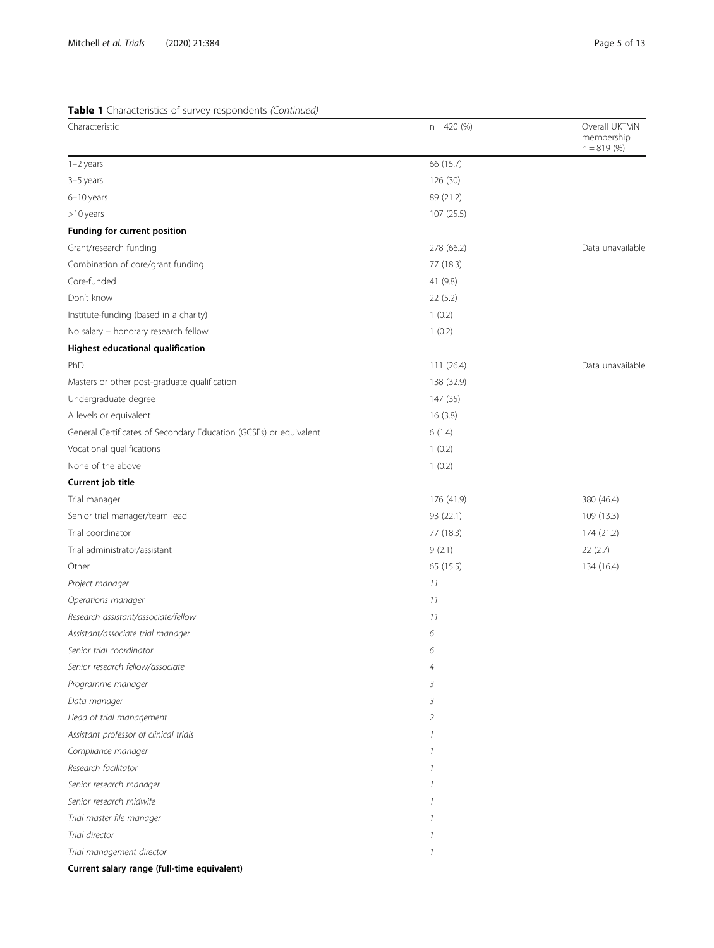#### Table 1 Characteristics of survey respondents (Continued)

| <b>Rable I</b> Characteristics of survey respondents (committed)<br>Characteristic | $n = 420 (%)$ | Overall UKTMN<br>membership<br>$n = 819(%)$ |
|------------------------------------------------------------------------------------|---------------|---------------------------------------------|
| $1-2$ years                                                                        | 66 (15.7)     |                                             |
| 3-5 years                                                                          | 126 (30)      |                                             |
| $6-10$ years                                                                       | 89 (21.2)     |                                             |
| >10 years                                                                          | 107 (25.5)    |                                             |
| Funding for current position                                                       |               |                                             |
| Grant/research funding                                                             | 278 (66.2)    | Data unavailable                            |
| Combination of core/grant funding                                                  | 77 (18.3)     |                                             |
| Core-funded                                                                        | 41 (9.8)      |                                             |
| Don't know                                                                         | 22(5.2)       |                                             |
| Institute-funding (based in a charity)                                             | 1(0.2)        |                                             |
| No salary - honorary research fellow                                               | 1(0.2)        |                                             |
| Highest educational qualification                                                  |               |                                             |
| PhD                                                                                | 111 (26.4)    | Data unavailable                            |
| Masters or other post-graduate qualification                                       | 138 (32.9)    |                                             |
| Undergraduate degree                                                               | 147 (35)      |                                             |
| A levels or equivalent                                                             | 16(3.8)       |                                             |
| General Certificates of Secondary Education (GCSEs) or equivalent                  | 6(1.4)        |                                             |
| Vocational qualifications                                                          | 1(0.2)        |                                             |
| None of the above                                                                  | 1(0.2)        |                                             |
| Current job title                                                                  |               |                                             |
| Trial manager                                                                      | 176 (41.9)    | 380 (46.4)                                  |
| Senior trial manager/team lead                                                     | 93 (22.1)     | 109 (13.3)                                  |
| Trial coordinator                                                                  | 77 (18.3)     | 174 (21.2)                                  |
| Trial administrator/assistant                                                      | 9(2.1)        | 22(2.7)                                     |
| Other                                                                              | 65 (15.5)     | 134 (16.4)                                  |
| Project manager                                                                    | 11            |                                             |
| Operations manager                                                                 | 11            |                                             |
| Research assistant/associate/fellow                                                | 11            |                                             |
| Assistant/associate trial manager                                                  | 6             |                                             |
| Senior trial coordinator                                                           | 6             |                                             |
| Senior research fellow/associate                                                   | 4             |                                             |
| Programme manager                                                                  | 3             |                                             |
| Data manager                                                                       | 3             |                                             |
| Head of trial management                                                           | 2             |                                             |
| Assistant professor of clinical trials                                             | 1             |                                             |
| Compliance manager                                                                 | 1             |                                             |
| Research facilitator                                                               | 1             |                                             |
| Senior research manager                                                            |               |                                             |
| Senior research midwife                                                            | 1             |                                             |
| Trial master file manager                                                          | 1             |                                             |
| Trial director                                                                     |               |                                             |
| Trial management director                                                          | $\mathcal{I}$ |                                             |
| Current salary range (full-time equivalent)                                        |               |                                             |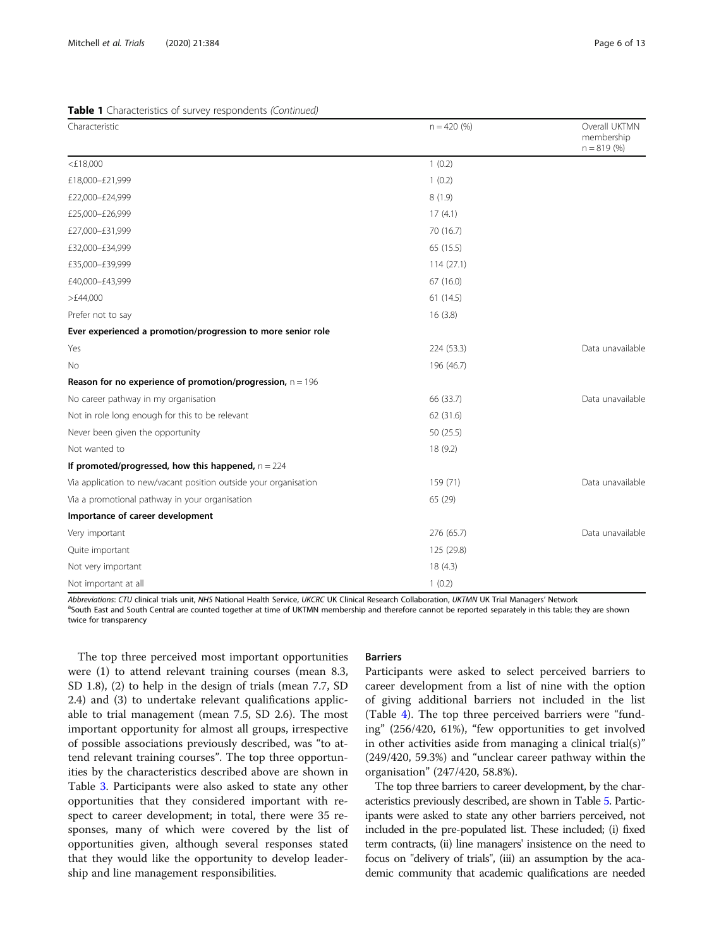| Characteristic                                                   | $n = 420 (%)$ | Overall UKTMN<br>membership<br>$n = 819(%)$ |
|------------------------------------------------------------------|---------------|---------------------------------------------|
| $<$ £18,000                                                      | 1(0.2)        |                                             |
| £18,000-£21,999                                                  | 1(0.2)        |                                             |
| £22,000-£24,999                                                  | 8(1.9)        |                                             |
| £25,000-£26,999                                                  | 17(4.1)       |                                             |
| £27,000-£31,999                                                  | 70 (16.7)     |                                             |
| £32,000-£34,999                                                  | 65 (15.5)     |                                             |
| £35,000-£39,999                                                  | 114(27.1)     |                                             |
| £40,000-£43,999                                                  | 67 (16.0)     |                                             |
| >E44,000                                                         | 61(14.5)      |                                             |
| Prefer not to say                                                | 16(3.8)       |                                             |
| Ever experienced a promotion/progression to more senior role     |               |                                             |
| Yes                                                              | 224 (53.3)    | Data unavailable                            |
| No                                                               | 196 (46.7)    |                                             |
| Reason for no experience of promotion/progression, $n = 196$     |               |                                             |
| No career pathway in my organisation                             | 66 (33.7)     | Data unavailable                            |
| Not in role long enough for this to be relevant                  | 62 (31.6)     |                                             |
| Never been given the opportunity                                 | 50 (25.5)     |                                             |
| Not wanted to                                                    | 18 (9.2)      |                                             |
| If promoted/progressed, how this happened, $n = 224$             |               |                                             |
| Via application to new/vacant position outside your organisation | 159 (71)      | Data unavailable                            |
| Via a promotional pathway in your organisation                   | 65 (29)       |                                             |
| Importance of career development                                 |               |                                             |
| Very important                                                   | 276 (65.7)    | Data unavailable                            |
| Quite important                                                  | 125 (29.8)    |                                             |
| Not very important                                               | 18(4.3)       |                                             |
| Not important at all                                             | 1(0.2)        |                                             |

#### Table 1 Characteristics of survey respondents (Continued)

Abbreviations: CTU clinical trials unit, NHS National Health Service, UKCRC UK Clinical Research Collaboration, UKTMN UK Trial Managers' Network <sup>a</sup>South East and South Central are counted together at time of UKTMN membership and therefore cannot be reported separately in this table; they are shown twice for transparency

The top three perceived most important opportunities were (1) to attend relevant training courses (mean 8.3, SD 1.8), (2) to help in the design of trials (mean 7.7, SD 2.4) and (3) to undertake relevant qualifications applicable to trial management (mean 7.5, SD 2.6). The most important opportunity for almost all groups, irrespective of possible associations previously described, was "to attend relevant training courses". The top three opportunities by the characteristics described above are shown in Table [3](#page-7-0). Participants were also asked to state any other opportunities that they considered important with respect to career development; in total, there were 35 responses, many of which were covered by the list of opportunities given, although several responses stated that they would like the opportunity to develop leadership and line management responsibilities.

#### Barriers

Participants were asked to select perceived barriers to career development from a list of nine with the option of giving additional barriers not included in the list (Table [4\)](#page-8-0). The top three perceived barriers were "funding" (256/420, 61%), "few opportunities to get involved in other activities aside from managing a clinical trial(s)" (249/420, 59.3%) and "unclear career pathway within the organisation" (247/420, 58.8%).

The top three barriers to career development, by the characteristics previously described, are shown in Table [5](#page-9-0). Participants were asked to state any other barriers perceived, not included in the pre-populated list. These included; (i) fixed term contracts, (ii) line managers' insistence on the need to focus on "delivery of trials", (iii) an assumption by the academic community that academic qualifications are needed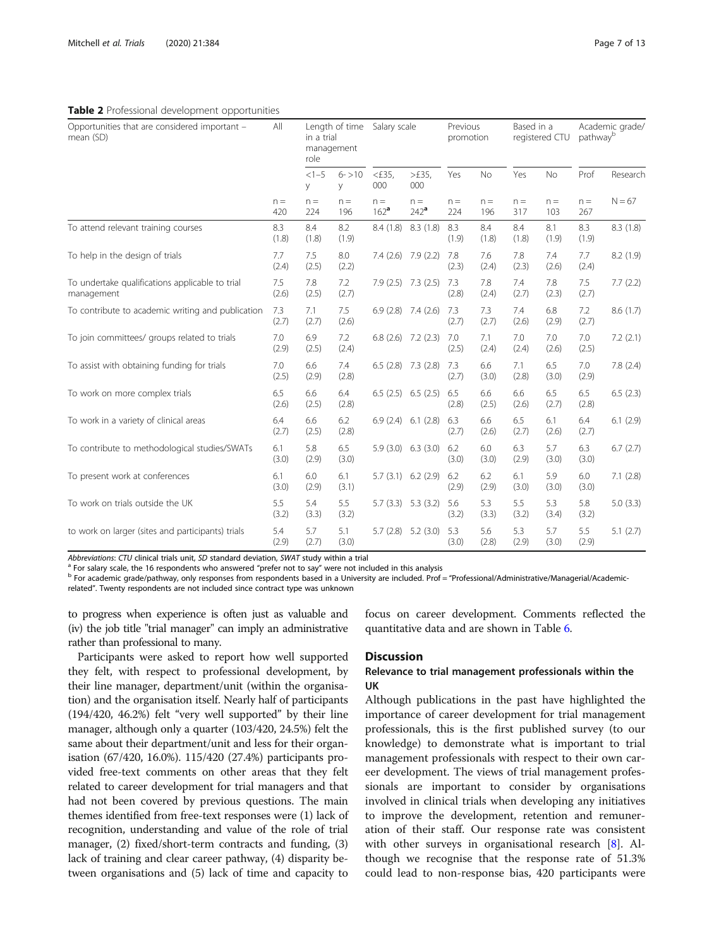#### <span id="page-6-0"></span>Table 2 Professional development opportunities

| Opportunities that are considered important -<br>mean (SD)    |              | All<br>Length of time<br>in a trial<br>management<br>role |               | Salary scale     |                           | Previous<br>promotion |              | Based in a<br>registered CTU |              | Academic grade/<br>pathway <sup>b</sup> |          |
|---------------------------------------------------------------|--------------|-----------------------------------------------------------|---------------|------------------|---------------------------|-----------------------|--------------|------------------------------|--------------|-----------------------------------------|----------|
|                                                               |              | $<1-5$<br>У                                               | $6 - 10$<br>У | $<$ £35,<br>000  | $>\tE35$<br>000           | Yes                   | No           | Yes                          | <b>No</b>    | Prof                                    | Research |
|                                                               | $n =$<br>420 | $n =$<br>224                                              | $n =$<br>196  | $n =$<br>$162^a$ | $n =$<br>242 <sup>a</sup> | $n =$<br>224          | $n =$<br>196 | $n =$<br>317                 | $n =$<br>103 | $n =$<br>267                            | $N = 67$ |
| To attend relevant training courses                           | 8.3<br>(1.8) | 8.4<br>(1.8)                                              | 8.2<br>(1.9)  | 8.4(1.8)         | 8.3(1.8)                  | 8.3<br>(1.9)          | 8.4<br>(1.8) | 8.4<br>(1.8)                 | 8.1<br>(1.9) | 8.3<br>(1.9)                            | 8.3(1.8) |
| To help in the design of trials                               | 7.7<br>(2.4) | 7.5<br>(2.5)                                              | 8.0<br>(2.2)  | 7.4(2.6)         | 7.9(2.2)                  | 7.8<br>(2.3)          | 7.6<br>(2.4) | 7.8<br>(2.3)                 | 7.4<br>(2.6) | 7.7<br>(2.4)                            | 8.2(1.9) |
| To undertake qualifications applicable to trial<br>management | 7.5<br>(2.6) | 7.8<br>(2.5)                                              | 7.2<br>(2.7)  |                  | $7.9(2.5)$ $7.3(2.5)$     | 7.3<br>(2.8)          | 7.8<br>(2.4) | 7.4<br>(2.7)                 | 7.8<br>(2.3) | 7.5<br>(2.7)                            | 7.7(2.2) |
| To contribute to academic writing and publication             | 7.3<br>(2.7) | 7.1<br>(2.7)                                              | 7.5<br>(2.6)  |                  | $6.9(2.8)$ 7.4 $(2.6)$    | 7.3<br>(2.7)          | 7.3<br>(2.7) | 7.4<br>(2.6)                 | 6.8<br>(2.9) | 7.2<br>(2.7)                            | 8.6(1.7) |
| To join committees/ groups related to trials                  | 7.0<br>(2.9) | 6.9<br>(2.5)                                              | 7.2<br>(2.4)  |                  | $6.8(2.6)$ 7.2 $(2.3)$    | 7.0<br>(2.5)          | 7.1<br>(2.4) | 7.0<br>(2.4)                 | 7.0<br>(2.6) | 7.0<br>(2.5)                            | 7.2(2.1) |
| To assist with obtaining funding for trials                   | 7.0<br>(2.5) | 6.6<br>(2.9)                                              | 7.4<br>(2.8)  | 6.5(2.8)         | 7.3(2.8)                  | 7.3<br>(2.7)          | 6.6<br>(3.0) | 7.1<br>(2.8)                 | 6.5<br>(3.0) | 7.0<br>(2.9)                            | 7.8(2.4) |
| To work on more complex trials                                | 6.5<br>(2.6) | 6.6<br>(2.5)                                              | 6.4<br>(2.8)  |                  | $6.5(2.5)$ $6.5(2.5)$     | 6.5<br>(2.8)          | 6.6<br>(2.5) | 6.6<br>(2.6)                 | 6.5<br>(2.7) | 6.5<br>(2.8)                            | 6.5(2.3) |
| To work in a variety of clinical areas                        | 6.4<br>(2.7) | 6.6<br>(2.5)                                              | 6.2<br>(2.8)  | 6.9(2.4)         | 6.1(2.8)                  | 6.3<br>(2.7)          | 6.6<br>(2.6) | 6.5<br>(2.7)                 | 6.1<br>(2.6) | 6.4<br>(2.7)                            | 6.1(2.9) |
| To contribute to methodological studies/SWATs                 | 6.1<br>(3.0) | 5.8<br>(2.9)                                              | 6.5<br>(3.0)  |                  | $5.9(3.0)$ $6.3(3.0)$     | 6.2<br>(3.0)          | 6.0<br>(3.0) | 6.3<br>(2.9)                 | 5.7<br>(3.0) | 6.3<br>(3.0)                            | 6.7(2.7) |
| To present work at conferences                                | 6.1<br>(3.0) | 6.0<br>(2.9)                                              | 6.1<br>(3.1)  | 5.7(3.1)         | 6.2(2.9)                  | 6.2<br>(2.9)          | 6.2<br>(2.9) | 6.1<br>(3.0)                 | 5.9<br>(3.0) | 6.0<br>(3.0)                            | 7.1(2.8) |
| To work on trials outside the UK                              | 5.5<br>(3.2) | 5.4<br>(3.3)                                              | 5.5<br>(3.2)  |                  | 5.7(3.3) 5.3(3.2)         | 5.6<br>(3.2)          | 5.3<br>(3.3) | 5.5<br>(3.2)                 | 5.3<br>(3.4) | 5.8<br>(3.2)                            | 5.0(3.3) |
| to work on larger (sites and participants) trials             | 5.4<br>(2.9) | 5.7<br>(2.7)                                              | 5.1<br>(3.0)  |                  | 5.7(2.8) 5.2(3.0)         | 5.3<br>(3.0)          | 5.6<br>(2.8) | 5.3<br>(2.9)                 | 5.7<br>(3.0) | 5.5<br>(2.9)                            | 5.1(2.7) |

Abbreviations: CTU clinical trials unit, SD standard deviation, SWAT study within a trial<br><sup>a</sup> For salary scale, the 16 respondents who answered "prefer not to say" were not included in this analysis<br><sup>b</sup> For academic grade/

related". Twenty respondents are not included since contract type was unknown

to progress when experience is often just as valuable and (iv) the job title "trial manager" can imply an administrative rather than professional to many.

Participants were asked to report how well supported they felt, with respect to professional development, by their line manager, department/unit (within the organisation) and the organisation itself. Nearly half of participants (194/420, 46.2%) felt "very well supported" by their line manager, although only a quarter (103/420, 24.5%) felt the same about their department/unit and less for their organisation (67/420, 16.0%). 115/420 (27.4%) participants provided free-text comments on other areas that they felt related to career development for trial managers and that had not been covered by previous questions. The main themes identified from free-text responses were (1) lack of recognition, understanding and value of the role of trial manager, (2) fixed/short-term contracts and funding, (3) lack of training and clear career pathway, (4) disparity between organisations and (5) lack of time and capacity to

focus on career development. Comments reflected the quantitative data and are shown in Table [6](#page-9-0).

#### **Discussion**

#### Relevance to trial management professionals within the UK

Although publications in the past have highlighted the importance of career development for trial management professionals, this is the first published survey (to our knowledge) to demonstrate what is important to trial management professionals with respect to their own career development. The views of trial management professionals are important to consider by organisations involved in clinical trials when developing any initiatives to improve the development, retention and remuneration of their staff. Our response rate was consistent with other surveys in organisational research [[8\]](#page-12-0). Although we recognise that the response rate of 51.3% could lead to non-response bias, 420 participants were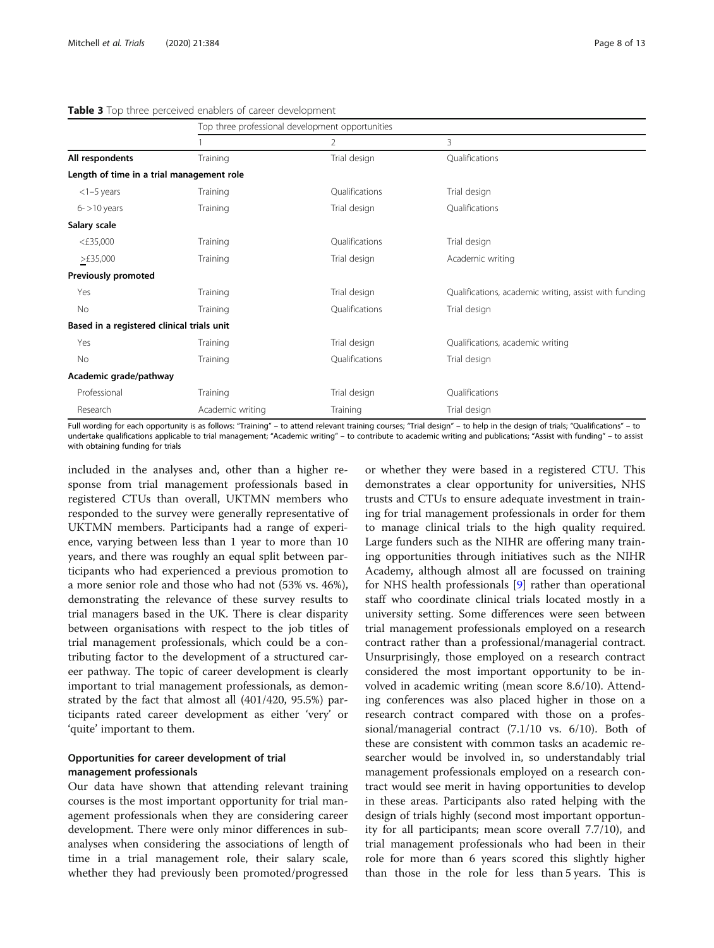|                                            | Top three professional development opportunities |                |                                                       |
|--------------------------------------------|--------------------------------------------------|----------------|-------------------------------------------------------|
|                                            |                                                  | 2              | 3                                                     |
| All respondents                            | Training                                         | Trial design   | Qualifications                                        |
| Length of time in a trial management role  |                                                  |                |                                                       |
| $<$ 1-5 years                              | Training                                         | Qualifications | Trial design                                          |
| $6 - 10$ years                             | Training                                         | Trial design   | Qualifications                                        |
| Salary scale                               |                                                  |                |                                                       |
| $<$ £35,000                                | Training                                         | Qualifications | Trial design                                          |
| $>\t535,000$                               | Training                                         | Trial design   | Academic writing                                      |
| Previously promoted                        |                                                  |                |                                                       |
| Yes                                        | Training                                         | Trial design   | Qualifications, academic writing, assist with funding |
| No                                         | Training                                         | Qualifications | Trial design                                          |
| Based in a registered clinical trials unit |                                                  |                |                                                       |
| Yes                                        | Training                                         | Trial design   | Qualifications, academic writing                      |
| No                                         | Training                                         | Qualifications | Trial design                                          |
| Academic grade/pathway                     |                                                  |                |                                                       |
| Professional                               | Training                                         | Trial design   | Qualifications                                        |
| Research                                   | Academic writing                                 | Training       | Trial design                                          |

#### <span id="page-7-0"></span>Table 3 Top three perceived enablers of career development

Full wording for each opportunity is as follows: "Training" – to attend relevant training courses; "Trial design" – to help in the design of trials; "Qualifications" – to undertake qualifications applicable to trial management; "Academic writing" – to contribute to academic writing and publications; "Assist with funding" – to assist with obtaining funding for trials

included in the analyses and, other than a higher response from trial management professionals based in registered CTUs than overall, UKTMN members who responded to the survey were generally representative of UKTMN members. Participants had a range of experience, varying between less than 1 year to more than 10 years, and there was roughly an equal split between participants who had experienced a previous promotion to a more senior role and those who had not (53% vs. 46%), demonstrating the relevance of these survey results to trial managers based in the UK. There is clear disparity between organisations with respect to the job titles of trial management professionals, which could be a contributing factor to the development of a structured career pathway. The topic of career development is clearly important to trial management professionals, as demonstrated by the fact that almost all (401/420, 95.5%) participants rated career development as either 'very' or 'quite' important to them.

#### Opportunities for career development of trial management professionals

Our data have shown that attending relevant training courses is the most important opportunity for trial management professionals when they are considering career development. There were only minor differences in subanalyses when considering the associations of length of time in a trial management role, their salary scale, whether they had previously been promoted/progressed

or whether they were based in a registered CTU. This demonstrates a clear opportunity for universities, NHS trusts and CTUs to ensure adequate investment in training for trial management professionals in order for them to manage clinical trials to the high quality required. Large funders such as the NIHR are offering many training opportunities through initiatives such as the NIHR Academy, although almost all are focussed on training for NHS health professionals [\[9](#page-12-0)] rather than operational staff who coordinate clinical trials located mostly in a university setting. Some differences were seen between trial management professionals employed on a research contract rather than a professional/managerial contract. Unsurprisingly, those employed on a research contract considered the most important opportunity to be involved in academic writing (mean score 8.6/10). Attending conferences was also placed higher in those on a research contract compared with those on a professional/managerial contract (7.1/10 vs. 6/10). Both of these are consistent with common tasks an academic researcher would be involved in, so understandably trial management professionals employed on a research contract would see merit in having opportunities to develop in these areas. Participants also rated helping with the design of trials highly (second most important opportunity for all participants; mean score overall 7.7/10), and trial management professionals who had been in their role for more than 6 years scored this slightly higher than those in the role for less than 5 years. This is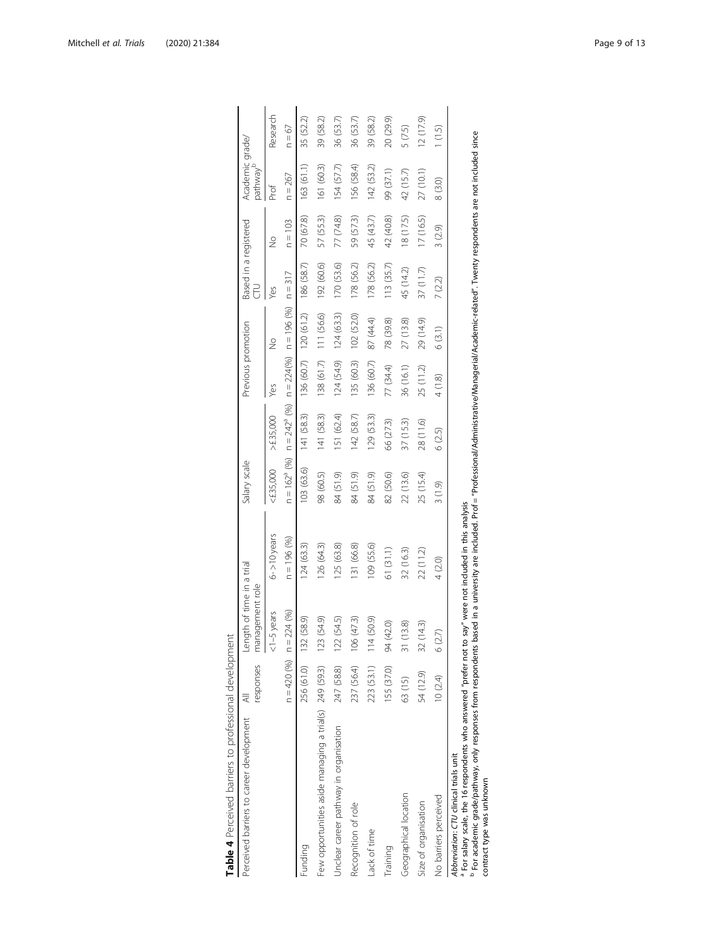| Perceived barriers to career development                                                                                                                                                                                                                                 | responses         | Length of time in a trial<br>management role |                                                                                                                                                 | Salary scale   |                       | Previous promotion      |               | Based in a registered |               | Academic grade/<br>pathway <sup>b</sup> |           |
|--------------------------------------------------------------------------------------------------------------------------------------------------------------------------------------------------------------------------------------------------------------------------|-------------------|----------------------------------------------|-------------------------------------------------------------------------------------------------------------------------------------------------|----------------|-----------------------|-------------------------|---------------|-----------------------|---------------|-----------------------------------------|-----------|
|                                                                                                                                                                                                                                                                          |                   | -5 years                                     | $6 - 10$ years                                                                                                                                  | $<$ £35,000    | >£35,000              | Yes                     | $\frac{1}{2}$ | Yes                   | $\frac{1}{2}$ | Prof                                    | Research  |
|                                                                                                                                                                                                                                                                          | $n = 420 (%) n =$ | 224 (%)                                      | $n = 196 (%)$                                                                                                                                   | $n = 162a$ (%) | $n = 242^{\circ}$ (%) | $n = 224(%)$            | $n = 196 (%)$ | $n = 317$             | $n = 103$     | $n = 267$                               | $n = 67$  |
| Funding                                                                                                                                                                                                                                                                  | 256 (61.0) 132    | (589)                                        | 124 (63.3)                                                                                                                                      | 103 (63.6)     | 141 (58.3)            | 136 (60.7)              | 120 (61.2)    | 186 (58.7)            | 70 (67.8)     | 163(61.1)                               | 35 (52.2) |
| Few opportunities aside managing a trial(s) 249 (59.3)                                                                                                                                                                                                                   |                   | (54.9)<br>123                                | 126(64.3)                                                                                                                                       | 98 (60.5)      | 141 (58.3)            | 138 (61.7)              | 111 (56.6)    | 192 (60.6)            | 57 (55.3)     | 161 (60.3)                              | 39 (58.2) |
| Unclear career pathway in organisation                                                                                                                                                                                                                                   | 247 (58.8) 122    | (54.5)                                       | 125 (63.8)                                                                                                                                      | 84 (51.9)      | 151 (62.4)            | $124(54.9)$ $124(63.3)$ |               | 170 (53.6)            | 77 (74.8)     | 154 (57.7)                              | 36 (53.7) |
| Recognition of role                                                                                                                                                                                                                                                      | 237 (56.4)        | (47.3)<br>$\frac{8}{100}$                    | 131 (66.8)                                                                                                                                      | 84 (51.9)      | 142 (58.7)            | 135 (60.3)              | 102 (52.0)    | 178 (56.2)            | 59 (57.3)     | 156 (58.4)                              | 36 (53.7) |
| Lack of time                                                                                                                                                                                                                                                             | 223 (53.1)        | (50.9)<br>$\frac{4}{11}$                     | 109 (55.6)                                                                                                                                      | 84 (51.9)      | 129 (53.3)            | 136 (60.7)              | 87 (44.4)     | 178 (56.2)            | 45 (43.7)     | 142(53.2)                               | 39 (58.2) |
| Training                                                                                                                                                                                                                                                                 | 155 (37.0)        | (42.0)<br>94                                 | 61 (31.1)                                                                                                                                       | 82 (50.6)      | 66 (27.3)             | 77 (34.4)               | 78 (39.8)     | 113 (35.7)            | 42 (40.8)     | 99 (37.1)                               | 20 (29.9) |
| Geographical location                                                                                                                                                                                                                                                    | 63 (15)           | (13.8)<br>$\overline{3}$                     | 32 (16.3)                                                                                                                                       | 22 (13.6)      | 37 (15.3)             | 36 (16.1)               | 27 (13.8)     | 45 (14.2)             | 18 (17.5)     | 42 (15.7)                               | 5 (7.5)   |
| Size of organisation                                                                                                                                                                                                                                                     | 54 (129)          | 32(14.3)                                     | 22 (11.2)                                                                                                                                       | 25 (15.4)      | 28 (11.6)             | 25 (11.2)               | 29 (14.9)     | 37(11.7)              | 17 (16.5)     | 27 (10.1)                               | 12(179)   |
| No barriers perceived                                                                                                                                                                                                                                                    | 10(2.4)           | $\bar{\circ}$                                | 4(2.0)                                                                                                                                          | 3(1.9)         | 6 (2.5)               | 4(1.8)                  | 6(3.1)        | 7(2.2)                | 3(2.9)        | 8 (3.0)                                 | 1 (1.5)   |
| <sup>a</sup> For salary scale, the 16 respondents who answered "prefer not to say" were not included in this analysis<br><sup>b</sup> For academic grade/pathway, only responses from respondents<br>Abbreviation: CTU clinical trials unit<br>contract type was unknown |                   |                                              | based in a university are included. Prof = "Professional/Administrative/Managerial/Academic-related". Twenty respondents are not included since |                |                       |                         |               |                       |               |                                         |           |

Table 4 Perceived barriers to professional development

Table 4 Perceived barriers to professional development

<span id="page-8-0"></span>

| Mitchell et al. Trials | (2020) 21:384 | Page 9 of 13 |
|------------------------|---------------|--------------|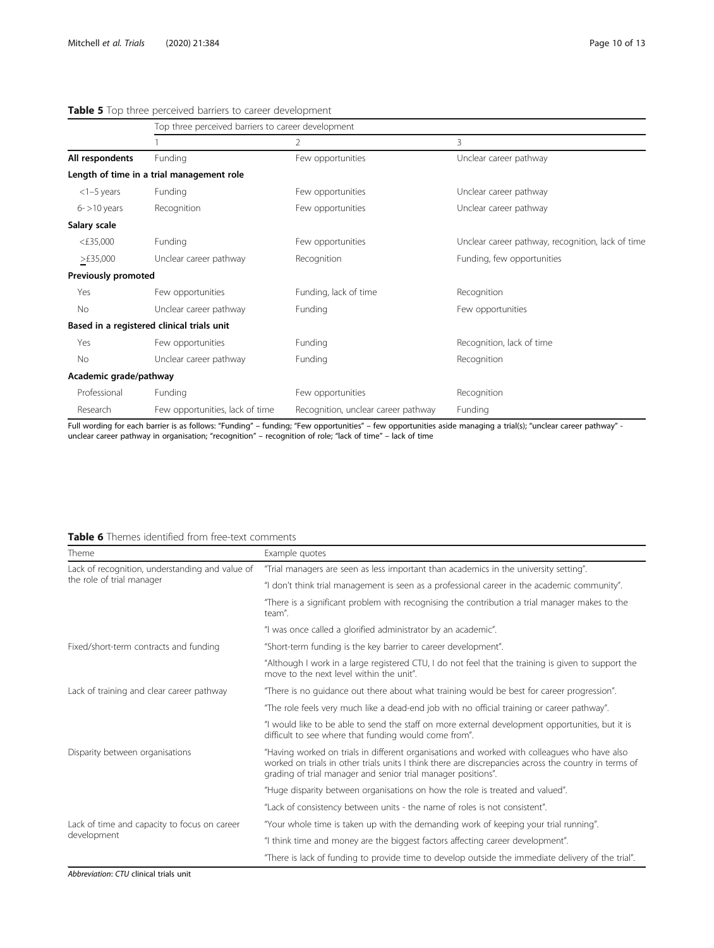#### <span id="page-9-0"></span>Table 5 Top three perceived barriers to career development

|                        | Top three perceived barriers to career development |                                     |                                                   |
|------------------------|----------------------------------------------------|-------------------------------------|---------------------------------------------------|
|                        |                                                    | 2                                   | 3                                                 |
| All respondents        | Funding                                            | Few opportunities                   | Unclear career pathway                            |
|                        | Length of time in a trial management role          |                                     |                                                   |
| $<$ 1-5 years          | Funding                                            | Few opportunities                   | Unclear career pathway                            |
| $6 - 10$ years         | Recognition                                        | Few opportunities                   | Unclear career pathway                            |
| Salary scale           |                                                    |                                     |                                                   |
| $<$ £35,000            | Funding                                            | Few opportunities                   | Unclear career pathway, recognition, lack of time |
| $>\t535,000$           | Unclear career pathway                             | Recognition                         | Funding, few opportunities                        |
| Previously promoted    |                                                    |                                     |                                                   |
| Yes                    | Few opportunities                                  | Funding, lack of time               | Recognition                                       |
| <b>No</b>              | Unclear career pathway                             | Funding                             | Few opportunities                                 |
|                        | Based in a registered clinical trials unit         |                                     |                                                   |
| Yes                    | Few opportunities                                  | Funding                             | Recognition, lack of time                         |
| <b>No</b>              | Unclear career pathway                             | Funding                             | Recognition                                       |
| Academic grade/pathway |                                                    |                                     |                                                   |
| Professional           | Funding                                            | Few opportunities                   | Recognition                                       |
| Research               | Few opportunities, lack of time                    | Recognition, unclear career pathway | Funding                                           |

Full wording for each barrier is as follows: "Funding" – funding; "Few opportunities" – few opportunities aside managing a trial(s); "unclear career pathway" unclear career pathway in organisation; "recognition" – recognition of role; "lack of time" – lack of time

#### Table 6 Themes identified from free-text comments

| Theme                                           | Example quotes                                                                                                                                                                                                                                                         |  |  |
|-------------------------------------------------|------------------------------------------------------------------------------------------------------------------------------------------------------------------------------------------------------------------------------------------------------------------------|--|--|
| Lack of recognition, understanding and value of | "Trial managers are seen as less important than academics in the university setting".                                                                                                                                                                                  |  |  |
| the role of trial manager                       | "I don't think trial management is seen as a professional career in the academic community".                                                                                                                                                                           |  |  |
|                                                 | "There is a significant problem with recognising the contribution a trial manager makes to the<br>team".                                                                                                                                                               |  |  |
|                                                 | "I was once called a glorified administrator by an academic".                                                                                                                                                                                                          |  |  |
| Fixed/short-term contracts and funding          | "Short-term funding is the key barrier to career development".                                                                                                                                                                                                         |  |  |
|                                                 | "Although I work in a large registered CTU, I do not feel that the training is given to support the<br>move to the next level within the unit".                                                                                                                        |  |  |
| Lack of training and clear career pathway       | "There is no quidance out there about what training would be best for career progression".                                                                                                                                                                             |  |  |
|                                                 | "The role feels very much like a dead-end job with no official training or career pathway".                                                                                                                                                                            |  |  |
|                                                 | "I would like to be able to send the staff on more external development opportunities, but it is<br>difficult to see where that funding would come from".                                                                                                              |  |  |
| Disparity between organisations                 | "Having worked on trials in different organisations and worked with colleagues who have also<br>worked on trials in other trials units I think there are discrepancies across the country in terms of<br>grading of trial manager and senior trial manager positions". |  |  |
|                                                 | "Huge disparity between organisations on how the role is treated and valued".                                                                                                                                                                                          |  |  |
|                                                 | "Lack of consistency between units - the name of roles is not consistent".                                                                                                                                                                                             |  |  |
| Lack of time and capacity to focus on career    | "Your whole time is taken up with the demanding work of keeping your trial running".                                                                                                                                                                                   |  |  |
| development                                     | "I think time and money are the biggest factors affecting career development".                                                                                                                                                                                         |  |  |
|                                                 | "There is lack of funding to provide time to develop outside the immediate delivery of the trial".                                                                                                                                                                     |  |  |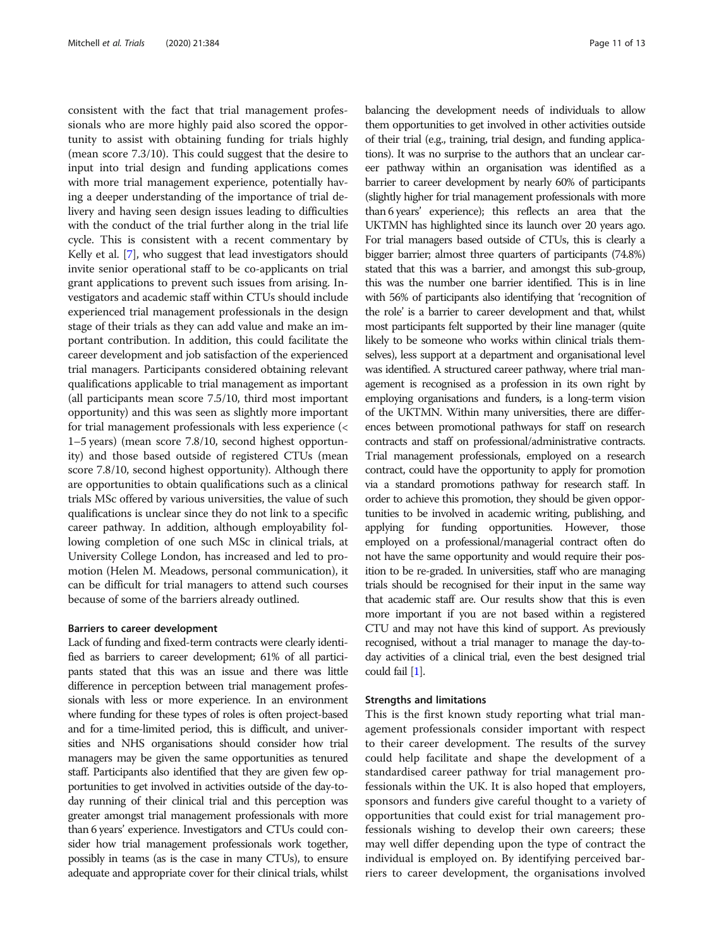consistent with the fact that trial management professionals who are more highly paid also scored the opportunity to assist with obtaining funding for trials highly (mean score 7.3/10). This could suggest that the desire to input into trial design and funding applications comes with more trial management experience, potentially having a deeper understanding of the importance of trial delivery and having seen design issues leading to difficulties with the conduct of the trial further along in the trial life cycle. This is consistent with a recent commentary by Kelly et al. [[7\]](#page-12-0), who suggest that lead investigators should invite senior operational staff to be co-applicants on trial grant applications to prevent such issues from arising. Investigators and academic staff within CTUs should include experienced trial management professionals in the design stage of their trials as they can add value and make an important contribution. In addition, this could facilitate the career development and job satisfaction of the experienced trial managers. Participants considered obtaining relevant qualifications applicable to trial management as important (all participants mean score 7.5/10, third most important opportunity) and this was seen as slightly more important for trial management professionals with less experience (< 1–5 years) (mean score 7.8/10, second highest opportunity) and those based outside of registered CTUs (mean score 7.8/10, second highest opportunity). Although there are opportunities to obtain qualifications such as a clinical trials MSc offered by various universities, the value of such qualifications is unclear since they do not link to a specific career pathway. In addition, although employability following completion of one such MSc in clinical trials, at University College London, has increased and led to promotion (Helen M. Meadows, personal communication), it can be difficult for trial managers to attend such courses because of some of the barriers already outlined.

#### Barriers to career development

Lack of funding and fixed-term contracts were clearly identified as barriers to career development; 61% of all participants stated that this was an issue and there was little difference in perception between trial management professionals with less or more experience. In an environment where funding for these types of roles is often project-based and for a time-limited period, this is difficult, and universities and NHS organisations should consider how trial managers may be given the same opportunities as tenured staff. Participants also identified that they are given few opportunities to get involved in activities outside of the day-today running of their clinical trial and this perception was greater amongst trial management professionals with more than 6 years' experience. Investigators and CTUs could consider how trial management professionals work together, possibly in teams (as is the case in many CTUs), to ensure adequate and appropriate cover for their clinical trials, whilst balancing the development needs of individuals to allow them opportunities to get involved in other activities outside of their trial (e.g., training, trial design, and funding applications). It was no surprise to the authors that an unclear career pathway within an organisation was identified as a barrier to career development by nearly 60% of participants (slightly higher for trial management professionals with more than 6 years' experience); this reflects an area that the UKTMN has highlighted since its launch over 20 years ago. For trial managers based outside of CTUs, this is clearly a bigger barrier; almost three quarters of participants (74.8%) stated that this was a barrier, and amongst this sub-group, this was the number one barrier identified. This is in line with 56% of participants also identifying that 'recognition of the role' is a barrier to career development and that, whilst most participants felt supported by their line manager (quite likely to be someone who works within clinical trials themselves), less support at a department and organisational level was identified. A structured career pathway, where trial management is recognised as a profession in its own right by employing organisations and funders, is a long-term vision of the UKTMN. Within many universities, there are differences between promotional pathways for staff on research contracts and staff on professional/administrative contracts. Trial management professionals, employed on a research contract, could have the opportunity to apply for promotion via a standard promotions pathway for research staff. In order to achieve this promotion, they should be given opportunities to be involved in academic writing, publishing, and applying for funding opportunities. However, those employed on a professional/managerial contract often do not have the same opportunity and would require their position to be re-graded. In universities, staff who are managing trials should be recognised for their input in the same way that academic staff are. Our results show that this is even more important if you are not based within a registered CTU and may not have this kind of support. As previously recognised, without a trial manager to manage the day-today activities of a clinical trial, even the best designed trial could fail [\[1\]](#page-11-0).

#### Strengths and limitations

This is the first known study reporting what trial management professionals consider important with respect to their career development. The results of the survey could help facilitate and shape the development of a standardised career pathway for trial management professionals within the UK. It is also hoped that employers, sponsors and funders give careful thought to a variety of opportunities that could exist for trial management professionals wishing to develop their own careers; these may well differ depending upon the type of contract the individual is employed on. By identifying perceived barriers to career development, the organisations involved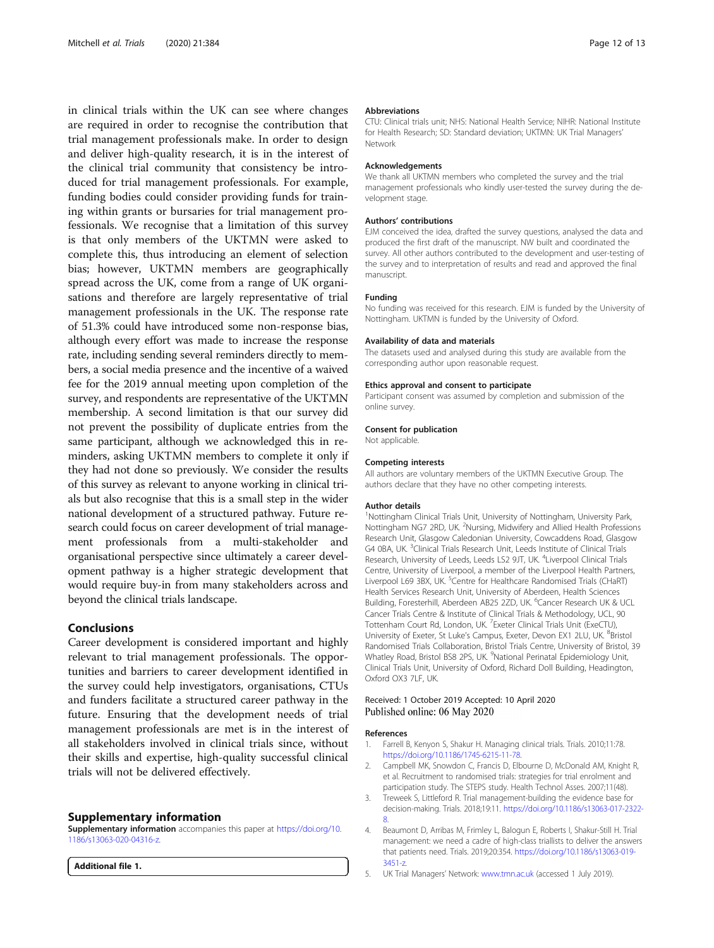<span id="page-11-0"></span>in clinical trials within the UK can see where changes are required in order to recognise the contribution that trial management professionals make. In order to design and deliver high-quality research, it is in the interest of the clinical trial community that consistency be introduced for trial management professionals. For example, funding bodies could consider providing funds for training within grants or bursaries for trial management professionals. We recognise that a limitation of this survey is that only members of the UKTMN were asked to complete this, thus introducing an element of selection bias; however, UKTMN members are geographically spread across the UK, come from a range of UK organisations and therefore are largely representative of trial management professionals in the UK. The response rate of 51.3% could have introduced some non-response bias, although every effort was made to increase the response rate, including sending several reminders directly to members, a social media presence and the incentive of a waived fee for the 2019 annual meeting upon completion of the survey, and respondents are representative of the UKTMN membership. A second limitation is that our survey did not prevent the possibility of duplicate entries from the same participant, although we acknowledged this in reminders, asking UKTMN members to complete it only if they had not done so previously. We consider the results of this survey as relevant to anyone working in clinical trials but also recognise that this is a small step in the wider national development of a structured pathway. Future research could focus on career development of trial management professionals from a multi-stakeholder and organisational perspective since ultimately a career development pathway is a higher strategic development that would require buy-in from many stakeholders across and beyond the clinical trials landscape.

#### Conclusions

Career development is considered important and highly relevant to trial management professionals. The opportunities and barriers to career development identified in the survey could help investigators, organisations, CTUs and funders facilitate a structured career pathway in the future. Ensuring that the development needs of trial management professionals are met is in the interest of all stakeholders involved in clinical trials since, without their skills and expertise, high-quality successful clinical trials will not be delivered effectively.

#### Supplementary information

Supplementary information accompanies this paper at [https://doi.org/10.](https://doi.org/10.1186/s13063-020-04316-z) [1186/s13063-020-04316-z.](https://doi.org/10.1186/s13063-020-04316-z)

Additional file 1.

#### Abbreviations

CTU: Clinical trials unit; NHS: National Health Service; NIHR: National Institute for Health Research; SD: Standard deviation; UKTMN: UK Trial Managers' Network

#### Acknowledgements

We thank all UKTMN members who completed the survey and the trial management professionals who kindly user-tested the survey during the development stage.

#### Authors' contributions

EJM conceived the idea, drafted the survey questions, analysed the data and produced the first draft of the manuscript. NW built and coordinated the survey. All other authors contributed to the development and user-testing of the survey and to interpretation of results and read and approved the final manuscript.

#### Funding

No funding was received for this research. EJM is funded by the University of Nottingham. UKTMN is funded by the University of Oxford.

#### Availability of data and materials

The datasets used and analysed during this study are available from the corresponding author upon reasonable request.

#### Ethics approval and consent to participate

Participant consent was assumed by completion and submission of the online survey.

#### Consent for publication

Not applicable.

#### Competing interests

All authors are voluntary members of the UKTMN Executive Group. The authors declare that they have no other competing interests.

#### Author details

<sup>1</sup>Nottingham Clinical Trials Unit, University of Nottingham, University Park Nottingham NG7 2RD, UK. <sup>2</sup>Nursing, Midwifery and Allied Health Professions Research Unit, Glasgow Caledonian University, Cowcaddens Road, Glasgow G4 0BA, UK.<sup>3</sup> Clinical Trials Research Unit, Leeds Institute of Clinical Trials Research, University of Leeds, Leeds LS2 9JT, UK. <sup>4</sup>Liverpool Clinical Trials Centre, University of Liverpool, a member of the Liverpool Health Partners, Liverpool L69 3BX, UK. <sup>5</sup>Centre for Healthcare Randomised Trials (CHaRT) Health Services Research Unit, University of Aberdeen, Health Sciences Building, Foresterhill, Aberdeen AB25 2ZD, UK. <sup>6</sup>Cancer Research UK & UCL Cancer Trials Centre & Institute of Clinical Trials & Methodology, UCL, 90 Tottenham Court Rd, London, UK. <sup>7</sup> Exeter Clinical Trials Unit (ExeCTU), University of Exeter, St Luke's Campus, Exeter, Devon EX1 2LU, UK. <sup>8</sup>Bristo Randomised Trials Collaboration, Bristol Trials Centre, University of Bristol, 39 Whatley Road, Bristol BS8 2PS, UK. <sup>9</sup>National Perinatal Epidemiology Unit, Clinical Trials Unit, University of Oxford, Richard Doll Building, Headington, Oxford OX3 7LF, UK.

#### Received: 1 October 2019 Accepted: 10 April 2020 Published online: 06 May 2020

#### References

- 1. Farrell B, Kenyon S, Shakur H. Managing clinical trials. Trials. 2010;11:78. <https://doi.org/10.1186/1745-6215-11-78>.
- 2. Campbell MK, Snowdon C, Francis D, Elbourne D, McDonald AM, Knight R, et al. Recruitment to randomised trials: strategies for trial enrolment and participation study. The STEPS study. Health Technol Asses. 2007;11(48).
- 3. Treweek S, Littleford R. Trial management-building the evidence base for decision-making. Trials. 2018;19:11. [https://doi.org/10.1186/s13063-017-2322-](https://doi.org/10.1186/s13063-017-2322-8) [8](https://doi.org/10.1186/s13063-017-2322-8).
- 4. Beaumont D, Arribas M, Frimley L, Balogun E, Roberts I, Shakur-Still H. Trial management: we need a cadre of high-class triallists to deliver the answers that patients need. Trials. 2019;20:354. [https://doi.org/10.1186/s13063-019-](https://doi.org/10.1186/s13063-019-3451-z) [3451-z](https://doi.org/10.1186/s13063-019-3451-z).
- 5. UK Trial Managers' Network: [www.tmn.ac.uk](http://www.tmn.ac.uk) (accessed 1 July 2019).